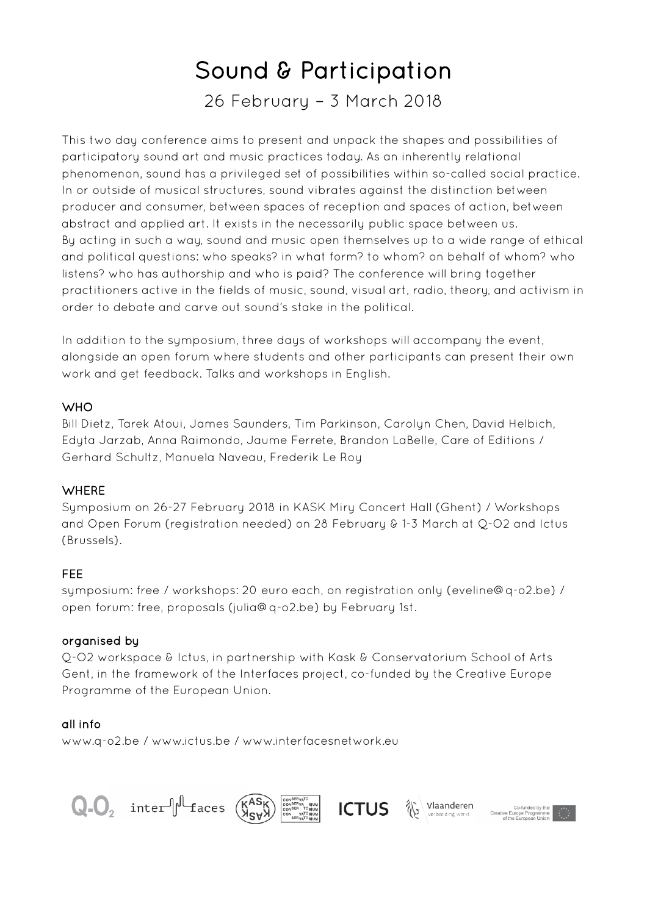# Sound & Participation

26 February – 3 March 2018

This two day conference aims to present and unpack the shapes and possibilities of participatory sound art and music practices today. As an inherently relational phenomenon, sound has a privileged set of possibilities within so-called social practice. In or outside of musical structures, sound vibrates against the distinction between producer and consumer, between spaces of reception and spaces of action, between abstract and applied art. It exists in the necessarily public space between us. By acting in such a way, sound and music open themselves up to a wide range of ethical and political questions: who speaks? in what form? to whom? on behalf of whom? who listens? who has authorship and who is paid? The conference will bring together practitioners active in the fields of music, sound, visual art, radio, theory, and activism in order to debate and carve out sound's stake in the political.

In addition to the symposium, three days of workshops will accompany the event, alongside an open forum where students and other participants can present their own work and get feedback. Talks and workshops in English.

## **WHO**

Bill Dietz, Tarek Atoui, James Saunders, Tim Parkinson, Carolyn Chen, David Helbich, Edyta Jarzab, Anna Raimondo, Jaume Ferrete, Brandon LaBelle, Care of Editions / Gerhard Schultz, Manuela Naveau, Frederik Le Roy

## **WHERE**

Symposium on 26-27 February 2018 in KASK Miry Concert Hall (Ghent) / Workshops and Open Forum (registration needed) on 28 February & 1-3 March at Q-O2 and Ictus (Brussels).

## FEE

symposium: free / workshops: 20 euro each, on registration only (eveline@q-o2.be) / open forum: free, proposals (julia@q-o2.be) by February 1st.

## organised by

Q-O2 workspace & Ictus, in partnership with Kask & Conservatorium School of Arts Gent, in the framework of the Interfaces project, co-funded by the Creative Europe Programme of the European Union.

## all info

www.q-o2.be / www.ictus.be / www.interfacesnetwork.eu

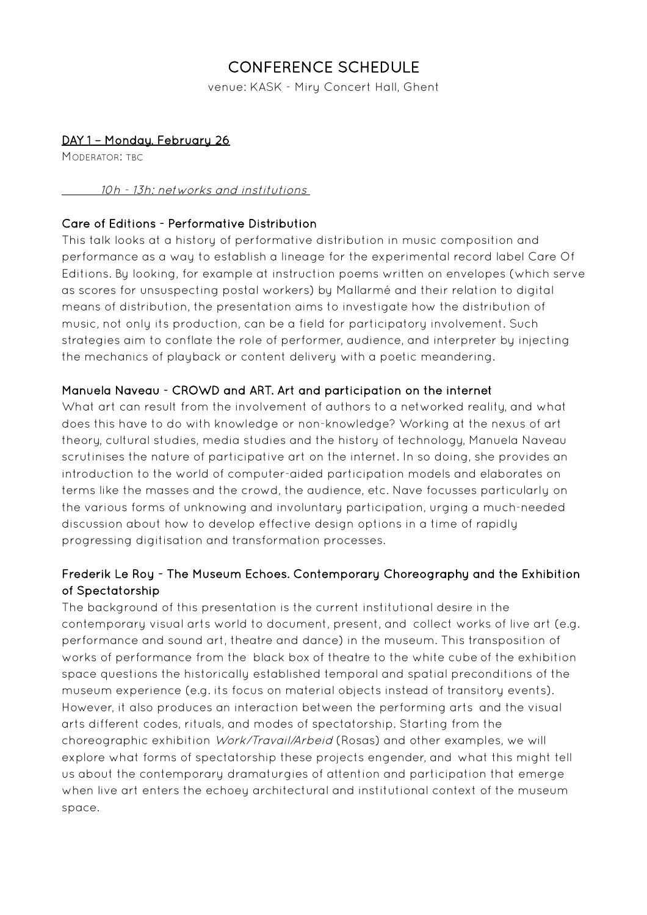# CONFERENCE SCHEDULE

venue: KASK - Miry Concert Hall, Ghent

## DAY 1 – Monday, February 26

MODERATOR' TRC

#### 10h - 13h: networks and institutions

## Care of Editions - Performative Distribution

This talk looks at a history of performative distribution in music composition and performance as a way to establish a lineage for the experimental record label Care Of Editions. By looking, for example at instruction poems written on envelopes (which serve as scores for unsuspecting postal workers) by Mallarmé and their relation to digital means of distribution, the presentation aims to investigate how the distribution of music, not only its production, can be a field for participatory involvement. Such strategies aim to conflate the role of performer, audience, and interpreter by injecting the mechanics of playback or content delivery with a poetic meandering.

## Manuela Naveau - CROWD and ART. Art and participation on the internet

What art can result from the involvement of authors to a networked reality, and what does this have to do with knowledge or non-knowledge? Working at the nexus of art theory, cultural studies, media studies and the history of technology, Manuela Naveau scrutinises the nature of participative art on the internet. In so doing, she provides an introduction to the world of computer-aided participation models and elaborates on terms like the masses and the crowd, the audience, etc. Nave focusses particularly on the various forms of unknowing and involuntary participation, urging a much-needed discussion about how to develop effective design options in a time of rapidly progressing digitisation and transformation processes.

## Frederik Le Roy - The Museum Echoes. Contemporary Choreography and the Exhibition of Spectatorship

The background of this presentation is the current institutional desire in the contemporary visual arts world to document, present, and collect works of live art (e.g. performance and sound art, theatre and dance) in the museum. This transposition of works of performance from the black box of theatre to the white cube of the exhibition space questions the historically established temporal and spatial preconditions of the museum experience (e.g. its focus on material objects instead of transitory events). However, it also produces an interaction between the performing arts and the visual arts different codes, rituals, and modes of spectatorship. Starting from the choreographic exhibition Work/Travail/Arbeid (Rosas) and other examples, we will explore what forms of spectatorship these projects engender, and what this might tell us about the contemporary dramaturgies of attention and participation that emerge when live art enters the echoey architectural and institutional context of the museum space.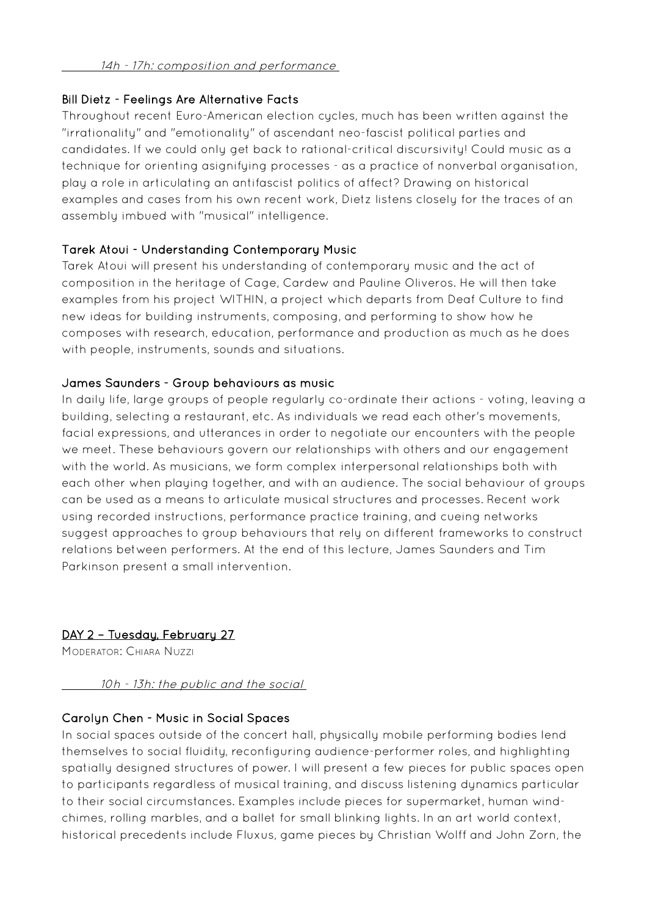#### 14h - 17h: composition and performance

## Bill Dietz - Feelings Are Alternative Facts

Throughout recent Euro-American election cucles, much has been written against the "irrationality" and "emotionality" of ascendant neo-fascist political parties and candidates. If we could only get back to rational-critical discursivity! Could music as a technique for orienting asignifying processes - as a practice of nonverbal organisation, play a role in articulating an antifascist politics of affect? Drawing on historical examples and cases from his own recent work, Dietz listens closely for the traces of an assembly imbued with "musical" intelligence.

## Tarek Atoui - Understanding Contemporary Music

Tarek Atoui will present his understanding of contemporary music and the act of composition in the heritage of Cage, Cardew and Pauline Oliveros. He will then take examples from his project WITHIN, a project which departs from Deaf Culture to find new ideas for building instruments, composing, and performing to show how he composes with research, education, performance and production as much as he does with people, instruments, sounds and situations.

## James Saunders - Group behaviours as music

In daily life, large groups of people regularly co-ordinate their actions - voting, leaving a building, selecting a restaurant, etc. As individuals we read each other's movements, facial expressions, and utterances in order to negotiate our encounters with the people we meet. These behaviours govern our relationships with others and our engagement with the world. As musicians, we form complex interpersonal relationships both with each other when playing together, and with an audience. The social behaviour of groups can be used as a means to articulate musical structures and processes. Recent work using recorded instructions, performance practice training, and cueing networks suggest approaches to group behaviours that rely on different frameworks to construct relations between performers. At the end of this lecture, James Saunders and Tim Parkinson present a small intervention.

## DAY 2 – Tuesday, February 27

MODERATOR: CHIARA NUZZI

10h - 13h: the public and the social

## Carolyn Chen - Music in Social Spaces

In social spaces outside of the concert hall, physically mobile performing bodies lend themselves to social fluidity, reconfiguring audience-performer roles, and highlighting spatially designed structures of power. I will present a few pieces for public spaces open to participants regardless of musical training, and discuss listening dynamics particular to their social circumstances. Examples include pieces for supermarket, human windchimes, rolling marbles, and a ballet for small blinking lights. In an art world context, historical precedents include Fluxus, game pieces by Christian Wolff and John Zorn, the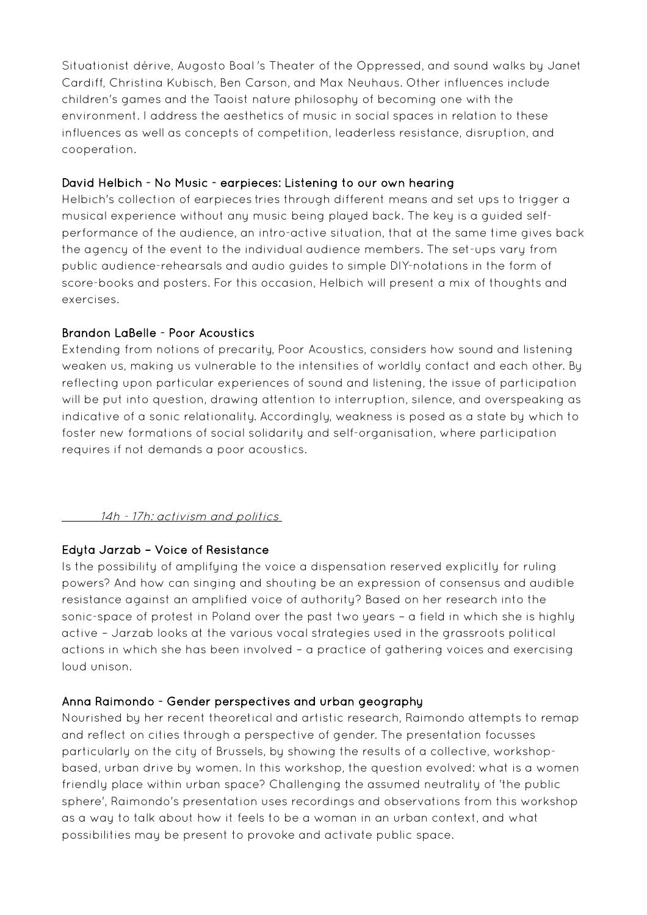Situationist dérive, Augosto Boal''s Theater of the Oppressed, and sound walks by Janet Cardiff, Christina Kubisch, Ben Carson, and Max Neuhaus. Other influences include children's games and the Taoist nature philosophy of becoming one with the environment. I address the aesthetics of music in social spaces in relation to these influences as well as concepts of competition, leaderless resistance, disruption, and cooperation.

## David Helbich - No Music - earpieces: Listening to our own hearing

Helbich's collection of earpieces tries through different means and set ups to trigger a musical experience without any music being played back. The key is a guided selfperformance of the audience, an intro-active situation, that at the same time gives back the agency of the event to the individual audience members. The set-ups vary from public audience-rehearsals and audio guides to simple DIY-notations in the form of score-books and posters. For this occasion, Helbich will present a mix of thoughts and exercises.

## Brandon LaBelle - Poor Acoustics

Extending from notions of precarity, Poor Acoustics, considers how sound and listening weaken us, making us vulnerable to the intensities of worldly contact and each other. By reflecting upon particular experiences of sound and listening, the issue of participation will be put into question, drawing attention to interruption, silence, and overspeaking as indicative of a sonic relationality. Accordingly, weakness is posed as a state by which to foster new formations of social solidarity and self-organisation, where participation requires if not demands a poor acoustics.

## 14h - 17h: activism and politics

## Edyta Jarzab – Voice of Resistance

Is the possibility of amplifying the voice a dispensation reserved explicitly for ruling powers? And how can singing and shouting be an expression of consensus and audible resistance against an amplified voice of authority? Based on her research into the sonic-space of protest in Poland over the past two years – a field in which she is highly active – Jarzab looks at the various vocal strategies used in the grassroots political actions in which she has been involved – a practice of gathering voices and exercising loud unison.

#### Anna Raimondo - Gender perspectives and urban geography

Nourished by her recent theoretical and artistic research, Raimondo attempts to remap and reflect on cities through a perspective of gender. The presentation focusses particularly on the city of Brussels, by showing the results of a collective, workshopbased, urban drive by women. In this workshop, the question evolved: what is a women friendly place within urban space? Challenging the assumed neutrality of 'the public sphere', Raimondo's presentation uses recordings and observations from this workshop as a way to talk about how it feels to be a woman in an urban context, and what possibilities may be present to provoke and activate public space.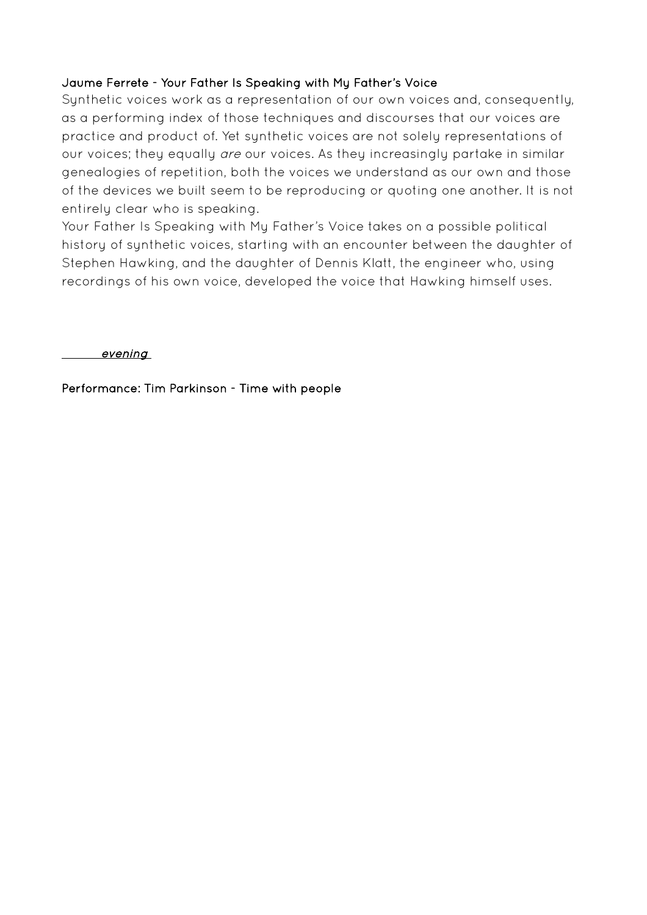## Jaume Ferrete - Your Father Is Speaking with My Father's Voice

Synthetic voices work as a representation of our own voices and, consequently, as a performing index of those techniques and discourses that our voices are practice and product of. Yet synthetic voices are not solely representations of our voices; they equally are our voices. As they increasingly partake in similar genealogies of repetition, both the voices we understand as our own and those of the devices we built seem to be reproducing or quoting one another. It is not entirely clear who is speaking.

Your Father Is Speaking with My Father's Voice takes on a possible political history of synthetic voices, starting with an encounter between the daughter of Stephen Hawking, and the daughter of Dennis Klatt, the engineer who, using recordings of his own voice, developed the voice that Hawking himself uses.

evening

Performance: Tim Parkinson - Time with people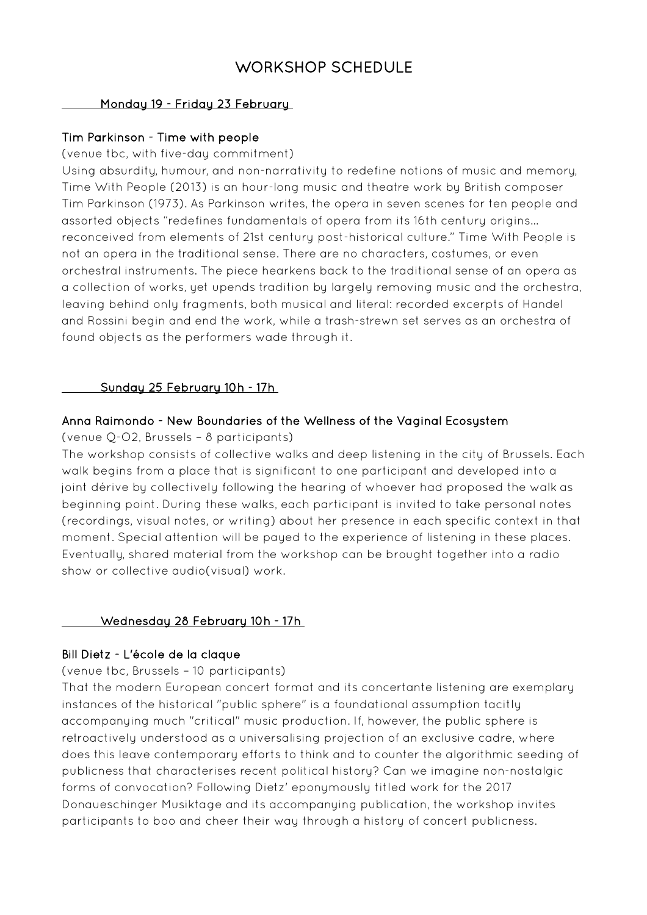# WORKSHOP SCHEDULE

#### Monday 19 - Friday 23 February

### Tim Parkinson - Time with people

#### (venue tbc, with five-day commitment)

Using absurdity, humour, and non-narrativity to redefine notions of music and memory, Time With People (2013) is an hour-long music and theatre work by British composer Tim Parkinson (1973). As Parkinson writes, the opera in seven scenes for ten people and assorted objects "redefines fundamentals of opera from its 16th century origins... reconceived from elements of 21st century post-historical culture." Time With People is not an opera in the traditional sense. There are no characters, costumes, or even orchestral instruments. The piece hearkens back to the traditional sense of an opera as a collection of works, yet upends tradition by largely removing music and the orchestra, leaving behind only fragments, both musical and literal: recorded excerpts of Handel and Rossini begin and end the work, while a trash-strewn set serves as an orchestra of found objects as the performers wade through it.

#### Sunday 25 February 10h - 17h

#### Anna Raimondo - New Boundaries of the Wellness of the Vaginal Ecosystem

(venue Q-O2, Brussels – 8 participants)

The workshop consists of collective walks and deep listening in the city of Brussels. Each walk begins from a place that is significant to one participant and developed into a joint dérive by collectively following the hearing of whoever had proposed the walk as beginning point. During these walks, each participant is invited to take personal notes (recordings, visual notes, or writing) about her presence in each specific context in that moment. Special attention will be payed to the experience of listening in these places. Eventually, shared material from the workshop can be brought together into a radio show or collective audio(visual) work.

#### Wednesday 28 February 10h - 17h

#### Bill Dietz - L'école de la claque

#### (venue tbc, Brussels – 10 participants)

That the modern European concert format and its concertante listening are exemplary instances of the historical "public sphere" is a foundational assumption tacitly accompanying much "critical" music production. If, however, the public sphere is retroactively understood as a universalising projection of an exclusive cadre, where does this leave contemporary efforts to think and to counter the algorithmic seeding of publicness that characterises recent political history? Can we imagine non-nostalgic forms of convocation? Following Dietz' eponymously titled work for the 2017 Donaueschinger Musiktage and its accompanying publication, the workshop invites participants to boo and cheer their way through a history of concert publicness.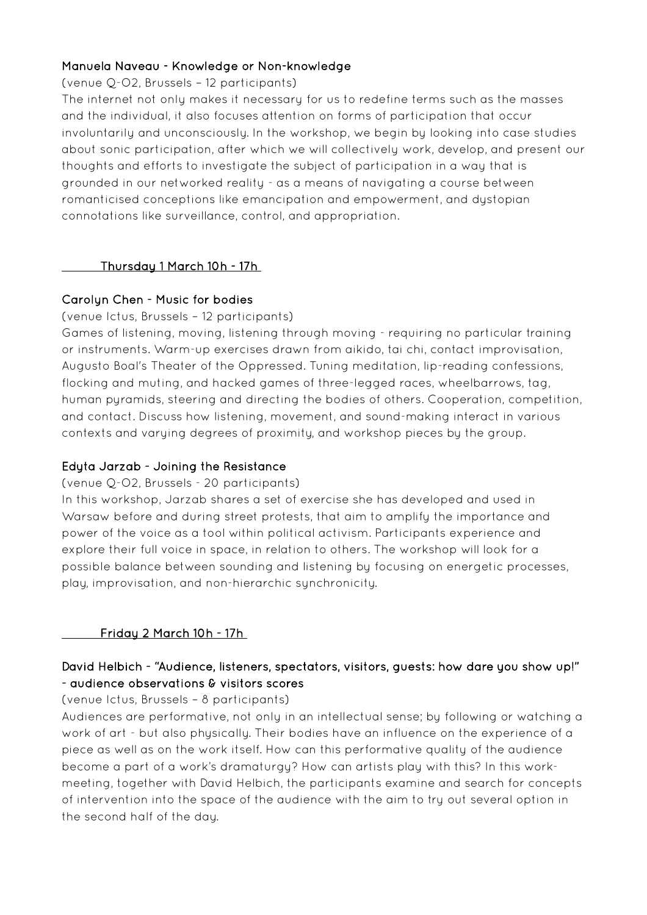## Manuela Naveau - Knowledge or Non-knowledge

(venue Q-O2, Brussels – 12 participants)

The internet not only makes it necessary for us to redefine terms such as the masses and the individual, it also focuses attention on forms of participation that occur involuntarily and unconsciously. In the workshop, we begin by looking into case studies about sonic participation, after which we will collectively work, develop, and present our thoughts and efforts to investigate the subject of participation in a way that is grounded in our networked reality - as a means of navigating a course between romanticised conceptions like emancipation and empowerment, and dystopian connotations like surveillance, control, and appropriation.

## Thursday 1 March 10h - 17h

#### Carolyn Chen - Music for bodies

(venue Ictus, Brussels – 12 participants)

Games of listening, moving, listening through moving - requiring no particular training or instruments. Warm-up exercises drawn from aikido, tai chi, contact improvisation, Augusto Boal's Theater of the Oppressed. Tuning meditation, lip-reading confessions, flocking and muting, and hacked games of three-legged races, wheelbarrows, tag, human pyramids, steering and directing the bodies of others. Cooperation, competition, and contact. Discuss how listening, movement, and sound-making interact in various contexts and varying degrees of proximity, and workshop pieces by the group.

## Edyta Jarzab - Joining the Resistance

(venue Q-O2, Brussels - 20 participants)

In this workshop, Jarzab shares a set of exercise she has developed and used in Warsaw before and during street protests, that aim to amplify the importance and power of the voice as a tool within political activism. Participants experience and explore their full voice in space, in relation to others. The workshop will look for a possible balance between sounding and listening by focusing on energetic processes, play, improvisation, and non-hierarchic synchronicity.

## Friday 2 March 10h - 17h

## David Helbich - "Audience, listeners, spectators, visitors, guests: how dare you show up!" - audience observations & visitors scores

(venue Ictus, Brussels – 8 participants)

Audiences are performative, not only in an intellectual sense; by following or watching a work of art - but also physically. Their bodies have an influence on the experience of a piece as well as on the work itself. How can this performative quality of the audience become a part of a work's dramaturgy? How can artists play with this? In this workmeeting, together with David Helbich, the participants examine and search for concepts of intervention into the space of the audience with the aim to try out several option in the second half of the day.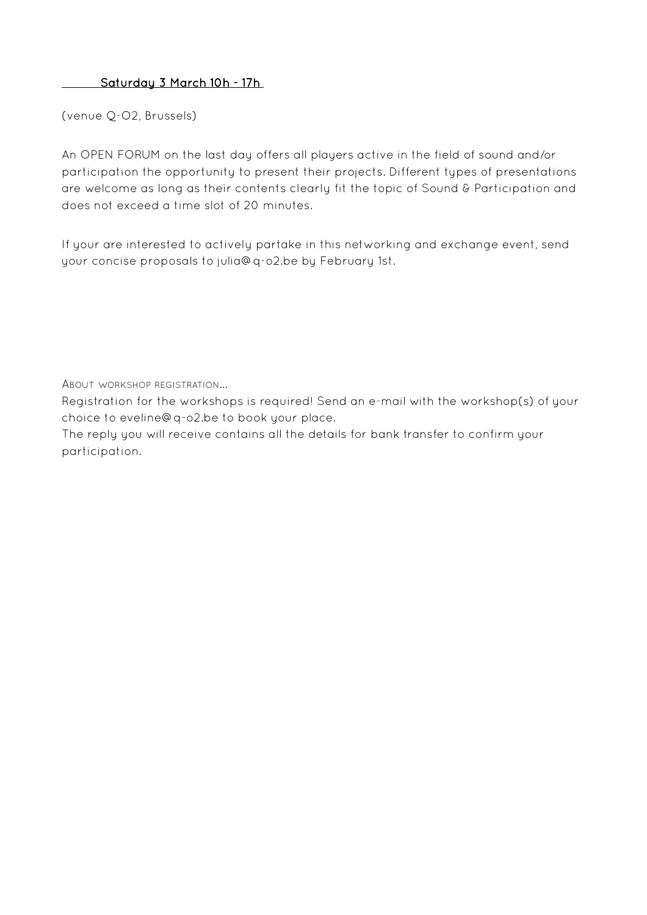## Saturday 3 March 10h - 17h

(venue Q-O2, Brussels)

An OPEN FORUM on the last day offers all players active in the field of sound and/or participation the opportunity to present their projects. Different types of presentations are welcome as long as their contents clearly fit the topic of Sound & Participation and does not exceed a time slot of 20 minutes.

If your are interested to actively partake in this networking and exchange event, send your concise proposals to julia@q-o2.be by February 1st.

ABOUT WORKSHOP REGISTRATION...

Registration for the workshops is required! Send an e-mail with the workshop(s) of your choice to eveline@q-o2.be to book your place.

The reply you will receive contains all the details for bank transfer to confirm your participation.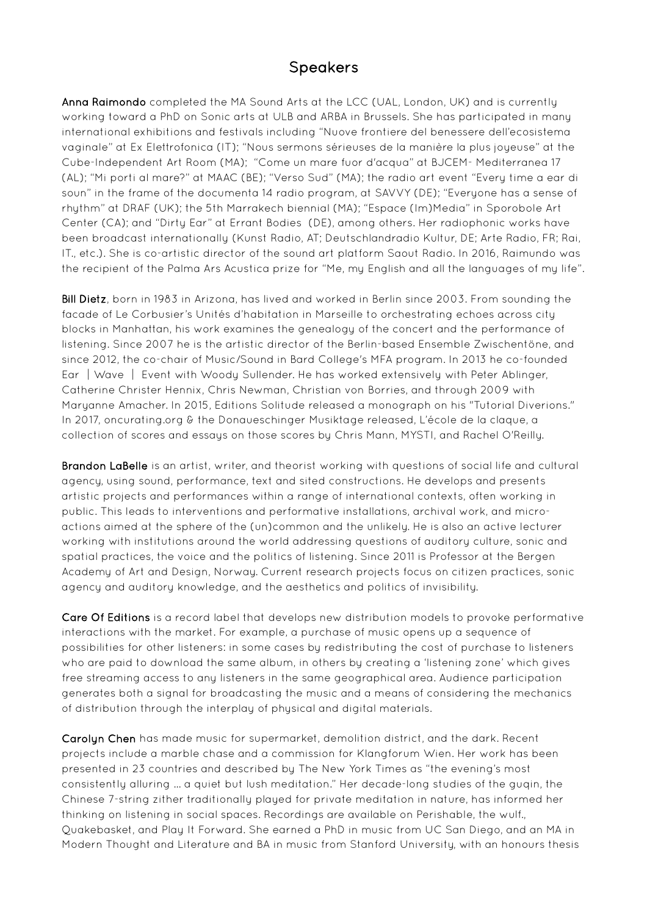## **Speakers**

Anna Raimondo completed the MA Sound Arts at the LCC (UAL, London, UK) and is currently working toward a PhD on Sonic arts at ULB and ARBA in Brussels. She has participated in many international exhibitions and festivals including "Nuove frontiere del benessere dell'ecosistema vaginale" at Ex Elettrofonica (IT); "Nous sermons sérieuses de la manière la plus joyeuse" at the Cube-Independent Art Room (MA); "Come un mare fuor d'acqua" at BJCEM- Mediterranea 17 (AL); "Mi porti al mare?" at MAAC (BE); "Verso Sud" (MA); the radio art event "Every time a ear di soun" in the frame of the documenta 14 radio program, at SAVVY (DE); "Everyone has a sense of rhythm" at DRAF (UK); the 5th Marrakech biennial (MA); "Espace (Im)Media" in Sporobole Art Center (CA); and "Dirty Ear" at Errant Bodies (DE), among others. Her radiophonic works have been broadcast internationally (Kunst Radio, AT; Deutschlandradio Kultur, DE; Arte Radio, FR; Rai, IT., etc.). She is co-artistic director of the sound art platform Saout Radio. In 2016, Raimundo was the recipient of the Palma Ars Acustica prize for "Me, my English and all the languages of my life".

Bill Dietz, born in 1983 in Arizona, has lived and worked in Berlin since 2003. From sounding the facade of Le Corbusier's Unités d'habitation in Marseille to orchestrating echoes across city blocks in Manhattan, his work examines the genealogy of the concert and the performance of listening. Since 2007 he is the artistic director of the Berlin-based Ensemble Zwischentöne, and since 2012, the co-chair of Music/Sound in Bard College's MFA program. In 2013 he co-founded Ear │Wave │ Event with Woody Sullender. He has worked extensively with Peter Ablinger, Catherine Christer Hennix, Chris Newman, Christian von Borries, and through 2009 with Maryanne Amacher. In 2015, Editions Solitude released a monograph on his "Tutorial Diverions." In 2017, oncurating.org & the Donaueschinger Musiktage released, L'école de la claque, a collection of scores and essays on those scores by Chris Mann, MYSTI, and Rachel O'Reilly.

Brandon LaBelle is an artist, writer, and theorist working with questions of social life and cultural agency, using sound, performance, text and sited constructions. He develops and presents artistic projects and performances within a range of international contexts, often working in public. This leads to interventions and performative installations, archival work, and microactions aimed at the sphere of the (un)common and the unlikely. He is also an active lecturer working with institutions around the world addressing questions of auditory culture, sonic and spatial practices, the voice and the politics of listening. Since 2011 is Professor at the Bergen Academy of Art and Design, Norway. Current research projects focus on citizen practices, sonic agency and auditory knowledge, and the aesthetics and politics of invisibility.

Care Of Editions is a record label that develops new distribution models to provoke performative interactions with the market. For example, a purchase of music opens up a sequence of possibilities for other listeners: in some cases by redistributing the cost of purchase to listeners who are paid to download the same album, in others by creating a 'listening zone' which gives free streaming access to any listeners in the same geographical area. Audience participation generates both a signal for broadcasting the music and a means of considering the mechanics of distribution through the interplay of physical and digital materials.

Carolyn Chen has made music for supermarket, demolition district, and the dark. Recent projects include a marble chase and a commission for Klangforum Wien. Her work has been presented in 23 countries and described by The New York Times as "the evening's most consistently alluring … a quiet but lush meditation." Her decade-long studies of the guqin, the Chinese 7-string zither traditionally played for private meditation in nature, has informed her thinking on listening in social spaces. Recordings are available on Perishable, the wulf., Quakebasket, and Play It Forward. She earned a PhD in music from UC San Diego, and an MA in Modern Thought and Literature and BA in music from Stanford University, with an honours thesis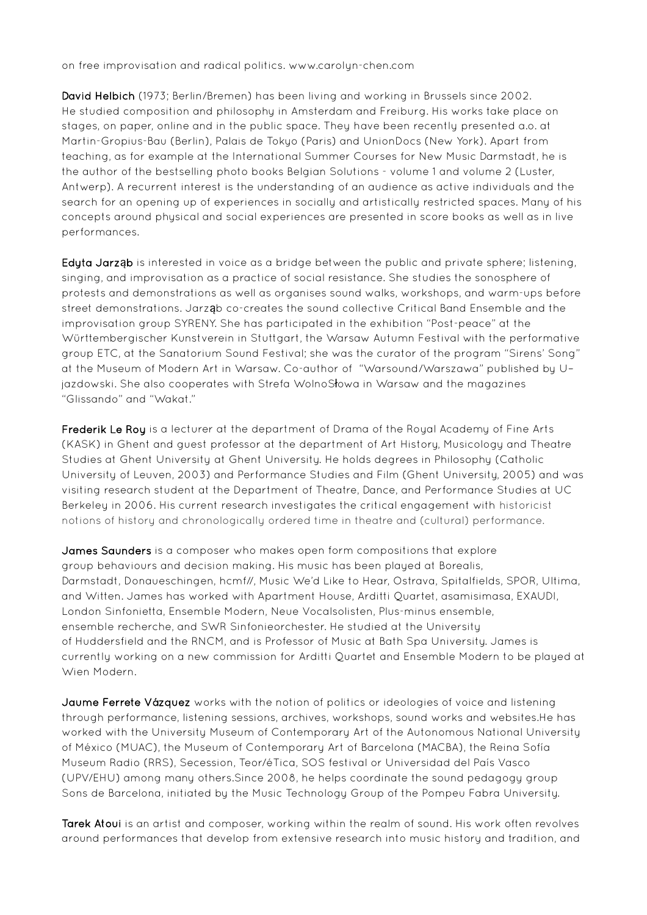on free improvisation and radical politics. www.carolyn-chen.com

David Helbich (1973; Berlin/Bremen) has been living and working in Brussels since 2002. He studied composition and philosophy in Amsterdam and Freiburg. His works take place on stages, on paper, online and in the public space. They have been recently presented a.o. at Martin-Gropius-Bau (Berlin), Palais de Tokyo (Paris) and UnionDocs (New York). Apart from teaching, as for example at the International Summer Courses for New Music Darmstadt, he is the author of the bestselling photo books Belgian Solutions - volume 1 and volume 2 (Luster, Antwerp). A recurrent interest is the understanding of an audience as active individuals and the search for an opening up of experiences in socially and artistically restricted spaces. Many of his concepts around physical and social experiences are presented in score books as well as in live performances.

Edyta Jarząb is interested in voice as a bridge between the public and private sphere; listening, singing, and improvisation as a practice of social resistance. She studies the sonosphere of protests and demonstrations as well as organises sound walks, workshops, and warm-ups before street demonstrations. Jarząb co-creates the sound collective Critical Band Ensemble and the improvisation group SYRENY. She has participated in the exhibition "Post-peace" at the Württembergischer Kunstverein in Stuttgart, the Warsaw Autumn Festival with the performative group ETC, at the Sanatorium Sound Festival; she was the curator of the program "Sirens' Song" at the Museum of Modern Art in Warsaw. Co-author of "Warsound/Warszawa" published by U– jazdowski. She also cooperates with Strefa WolnoSłowa in Warsaw and the magazines "Glissando" and "Wakat."

Frederik Le Roy is a lecturer at the department of Drama of the Royal Academy of Fine Arts (KASK) in Ghent and guest professor at the department of Art History, Musicology and Theatre Studies at Ghent University at Ghent University. He holds degrees in Philosophy (Catholic University of Leuven, 2003) and Performance Studies and Film (Ghent University, 2005) and was visiting research student at the Department of Theatre, Dance, and Performance Studies at UC Berkeley in 2006. His current research investigates the critical engagement with historicist notions of history and chronologically ordered time in theatre and (cultural) performance.

James Saunders is a composer who makes open form compositions that explore group behaviours and decision making. His music has been played at Borealis, Darmstadt, Donaueschingen, hcmf//, Music We'd Like to Hear, Ostrava, Spitalfields, SPOR, Ultima, and Witten. James has worked with Apartment House, Arditti Quartet, asamisimasa, EXAUDI, London Sinfonietta, Ensemble Modern, Neue Vocalsolisten, Plus-minus ensemble, ensemble recherche, and SWR Sinfonieorchester. He studied at the University of Huddersfield and the RNCM, and is Professor of Music at Bath Spa University. James is currently working on a new commission for Arditti Quartet and Ensemble Modern to be played at Wien Modern.

Jaume Ferrete Vázquez works with the notion of politics or ideologies of voice and listening through performance, listening sessions, archives, workshops, sound works and websites.He has worked with the University Museum of Contemporary Art of the Autonomous National University of México (MUAC), the Museum of Contemporary Art of Barcelona (MACBA), the Reina Sofía Museum Radio (RRS), Secession, Teor/éTica, SOS festival or Universidad del País Vasco (UPV/EHU) among many others.Since 2008, he helps coordinate the sound pedagogy group Sons de Barcelona, initiated by the Music Technology Group of the Pompeu Fabra University.

Tarek Atoui is an artist and composer, working within the realm of sound. His work often revolves around performances that develop from extensive research into music history and tradition, and